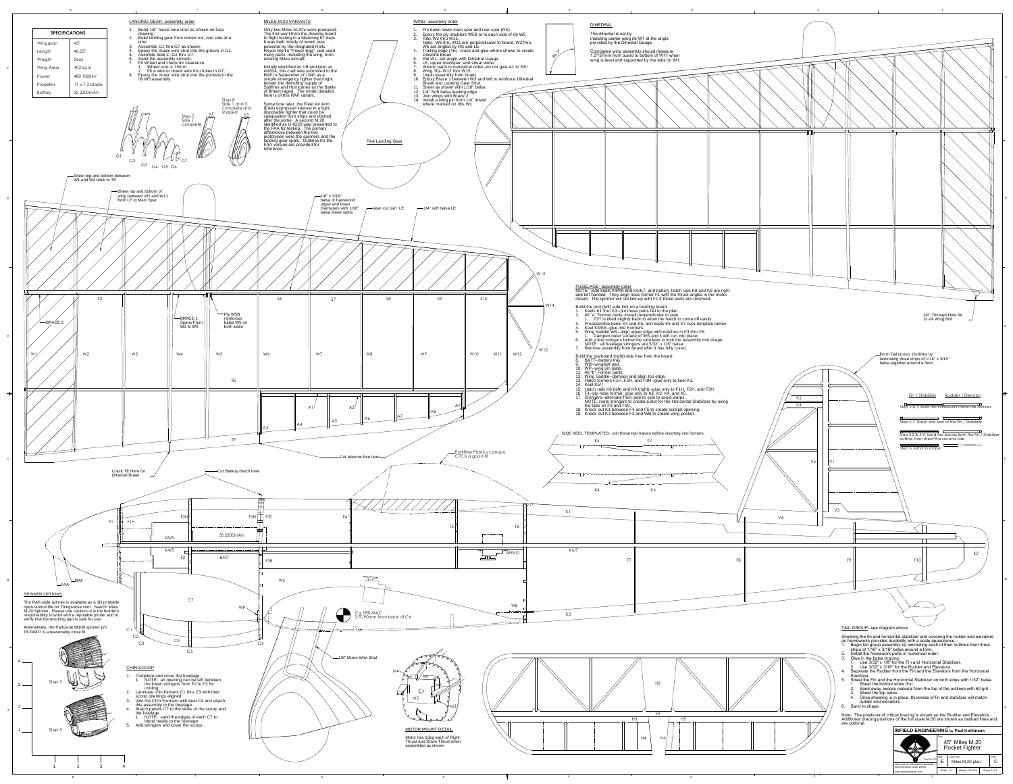A

B

C

D



E

F